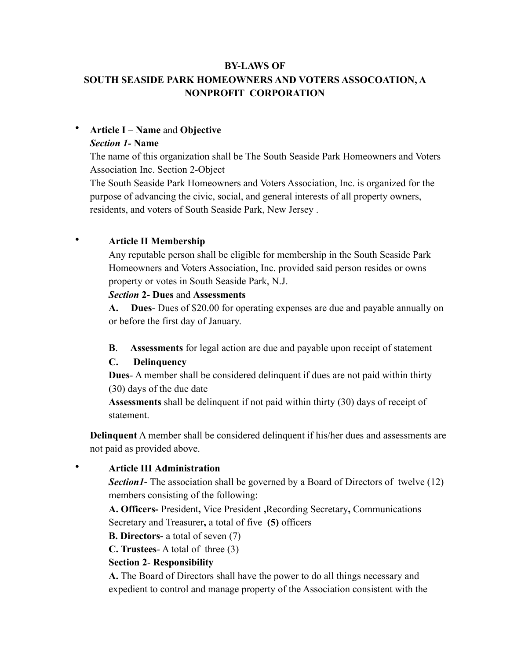# **BY-LAWS OF SOUTH SEASIDE PARK HOMEOWNERS AND VOTERS ASSOCOATION, A NONPROFIT CORPORATION**

# • **Article I** – **Name** and **Objective**

### *Section 1-* **Name**

The name of this organization shall be The South Seaside Park Homeowners and Voters Association Inc. Section 2-Object

The South Seaside Park Homeowners and Voters Association, Inc. is organized for the purpose of advancing the civic, social, and general interests of all property owners, residents, and voters of South Seaside Park, New Jersey .

# • **Article II Membership**

Any reputable person shall be eligible for membership in the South Seaside Park Homeowners and Voters Association, Inc. provided said person resides or owns property or votes in South Seaside Park, N.J.

### *Section* **2- Dues** and **Assessments**

**A. Dues**- Dues of \$20.00 for operating expenses are due and payable annually on or before the first day of January.

**B**. **Assessments** for legal action are due and payable upon receipt of statement

# **C. Delinquency**

**Dues**- A member shall be considered delinquent if dues are not paid within thirty (30) days of the due date

**Assessments** shall be delinquent if not paid within thirty (30) days of receipt of statement.

**Delinquent** A member shall be considered delinquent if his/her dues and assessments are not paid as provided above.

## • **Article III Administration**

**Section** *I*- The association shall be governed by a Board of Directors of twelve (12) members consisting of the following:

**A. Officers-** President**,** Vice President **,**Recording Secretary**,** Communications Secretary and Treasurer**,** a total of five **(5)** officers

**B. Directors-** a total of seven (7)

**C. Trustees**- A total of three (3)

## **Section 2**- **Responsibility**

**A.** The Board of Directors shall have the power to do all things necessary and expedient to control and manage property of the Association consistent with the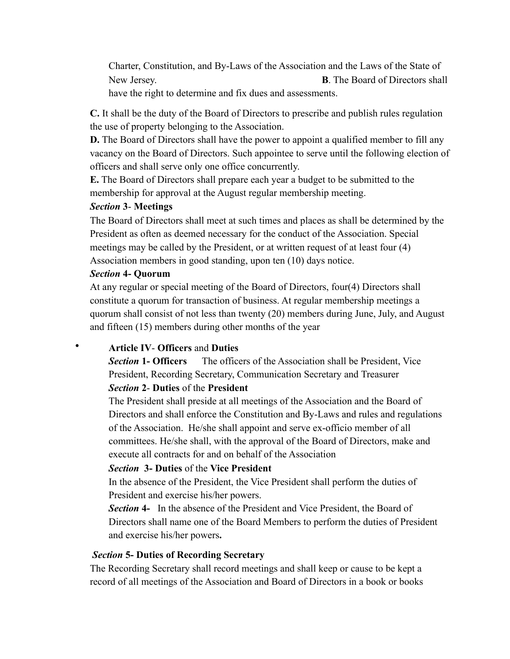Charter, Constitution, and By-Laws of the Association and the Laws of the State of New Jersey. **B**. The Board of Directors shall have the right to determine and fix dues and assessments.

**C.** It shall be the duty of the Board of Directors to prescribe and publish rules regulation the use of property belonging to the Association.

**D.** The Board of Directors shall have the power to appoint a qualified member to fill any vacancy on the Board of Directors. Such appointee to serve until the following election of officers and shall serve only one office concurrently.

**E.** The Board of Directors shall prepare each year a budget to be submitted to the membership for approval at the August regular membership meeting.

## *Section* **3**- **Meetings**

The Board of Directors shall meet at such times and places as shall be determined by the President as often as deemed necessary for the conduct of the Association. Special meetings may be called by the President, or at written request of at least four (4) Association members in good standing, upon ten (10) days notice.

## *Section* **4- Quorum**

At any regular or special meeting of the Board of Directors, four(4) Directors shall constitute a quorum for transaction of business. At regular membership meetings a quorum shall consist of not less than twenty (20) members during June, July, and August and fifteen (15) members during other months of the year

# • **Article IV**- **Officers** and **Duties**

*Section* **1- Officers** The officers of the Association shall be President, Vice President, Recording Secretary, Communication Secretary and Treasurer

## *Section* **2**- **Duties** of the **President**

The President shall preside at all meetings of the Association and the Board of Directors and shall enforce the Constitution and By-Laws and rules and regulations of the Association. He/she shall appoint and serve ex-officio member of all committees. He/she shall, with the approval of the Board of Directors, make and execute all contracts for and on behalf of the Association

## *Section* **3- Duties** of the **Vice President**

In the absence of the President, the Vice President shall perform the duties of President and exercise his/her powers.

*Section* **4-** In the absence of the President and Vice President, the Board of Directors shall name one of the Board Members to perform the duties of President and exercise his/her powers**.** 

## *Section* **5- Duties of Recording Secretary**

The Recording Secretary shall record meetings and shall keep or cause to be kept a record of all meetings of the Association and Board of Directors in a book or books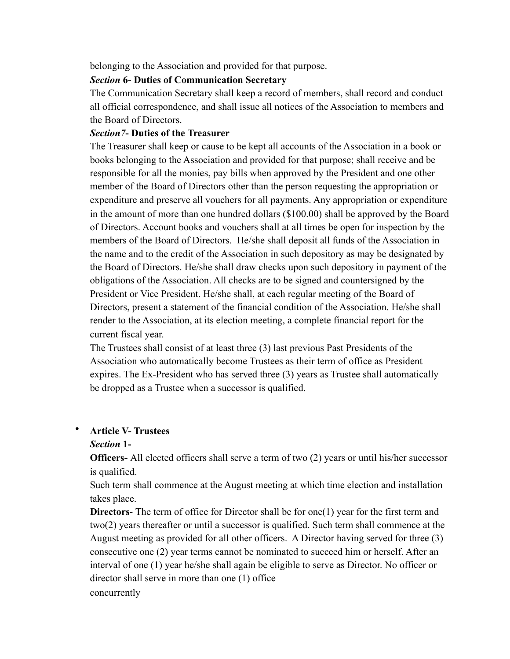belonging to the Association and provided for that purpose.

# *Section* **6- Duties of Communication Secretary**

The Communication Secretary shall keep a record of members, shall record and conduct all official correspondence, and shall issue all notices of the Association to members and the Board of Directors.

# *Section7***- Duties of the Treasurer**

The Treasurer shall keep or cause to be kept all accounts of the Association in a book or books belonging to the Association and provided for that purpose; shall receive and be responsible for all the monies, pay bills when approved by the President and one other member of the Board of Directors other than the person requesting the appropriation or expenditure and preserve all vouchers for all payments. Any appropriation or expenditure in the amount of more than one hundred dollars (\$100.00) shall be approved by the Board of Directors. Account books and vouchers shall at all times be open for inspection by the members of the Board of Directors. He/she shall deposit all funds of the Association in the name and to the credit of the Association in such depository as may be designated by the Board of Directors. He/she shall draw checks upon such depository in payment of the obligations of the Association. All checks are to be signed and countersigned by the President or Vice President. He/she shall, at each regular meeting of the Board of Directors, present a statement of the financial condition of the Association. He/she shall render to the Association, at its election meeting, a complete financial report for the current fiscal year.

The Trustees shall consist of at least three (3) last previous Past Presidents of the Association who automatically become Trustees as their term of office as President expires. The Ex-President who has served three (3) years as Trustee shall automatically be dropped as a Trustee when a successor is qualified.

# • **Article V- Trustees**

## *Section* **1-**

**Officers-** All elected officers shall serve a term of two (2) years or until his/her successor is qualified.

Such term shall commence at the August meeting at which time election and installation takes place.

**Directors**- The term of office for Director shall be for one(1) year for the first term and two(2) years thereafter or until a successor is qualified. Such term shall commence at the August meeting as provided for all other officers. A Director having served for three (3) consecutive one (2) year terms cannot be nominated to succeed him or herself. After an interval of one (1) year he/she shall again be eligible to serve as Director. No officer or director shall serve in more than one (1) office concurrently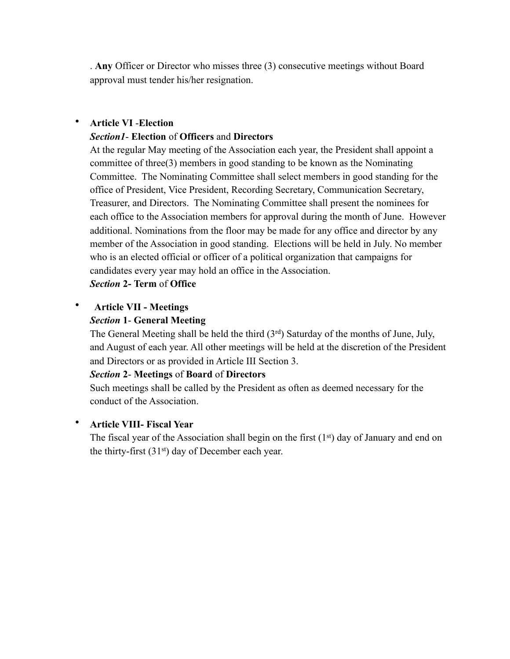. **Any** Officer or Director who misses three (3) consecutive meetings without Board approval must tender his/her resignation.

#### • **Article VI** -**Election**

#### *Section1*- **Election** of **Officers** and **Directors**

At the regular May meeting of the Association each year, the President shall appoint a committee of three(3) members in good standing to be known as the Nominating Committee. The Nominating Committee shall select members in good standing for the office of President, Vice President, Recording Secretary, Communication Secretary, Treasurer, and Directors. The Nominating Committee shall present the nominees for each office to the Association members for approval during the month of June. However additional. Nominations from the floor may be made for any office and director by any member of the Association in good standing. Elections will be held in July. No member who is an elected official or officer of a political organization that campaigns for candidates every year may hold an office in the Association.

*Section* **2- Term** of **Office** 

### • **Article VII - Meetings**

## *Section* **1**- **General Meeting**

The General Meeting shall be held the third  $(3<sup>rd</sup>)$  Saturday of the months of June, July, and August of each year. All other meetings will be held at the discretion of the President and Directors or as provided in Article III Section 3.

#### *Section* **2**- **Meetings** of **Board** of **Directors**

Such meetings shall be called by the President as often as deemed necessary for the conduct of the Association.

#### • **Article VIII- Fiscal Year**

The fiscal year of the Association shall begin on the first  $(1<sup>st</sup>)$  day of January and end on the thirty-first  $(31<sup>st</sup>)$  day of December each year.